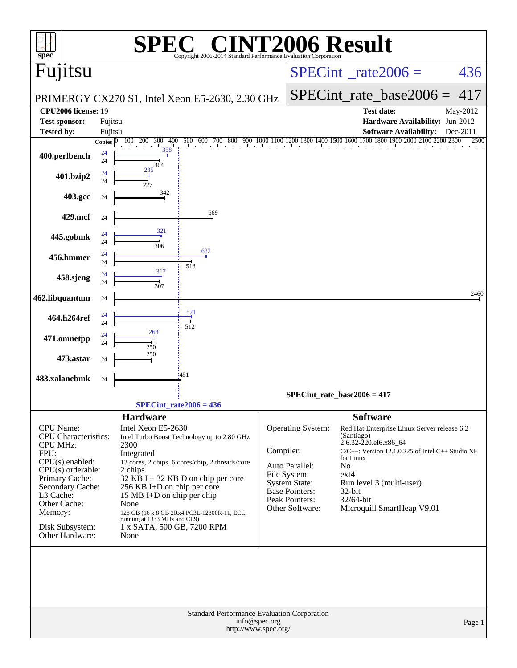| $spec^*$                                                                                                                                                                                                                            |                          |                                                                                                                                                                                                                   | C® CINT2006 Result<br>Copyright 2006-2014 Standard Performance Evaluation Cornoration                                                                                                 |           |                                                                                                                                           |                                                                                                                                                                                                                                                                    |          |  |  |  |
|-------------------------------------------------------------------------------------------------------------------------------------------------------------------------------------------------------------------------------------|--------------------------|-------------------------------------------------------------------------------------------------------------------------------------------------------------------------------------------------------------------|---------------------------------------------------------------------------------------------------------------------------------------------------------------------------------------|-----------|-------------------------------------------------------------------------------------------------------------------------------------------|--------------------------------------------------------------------------------------------------------------------------------------------------------------------------------------------------------------------------------------------------------------------|----------|--|--|--|
| Fujitsu                                                                                                                                                                                                                             |                          |                                                                                                                                                                                                                   |                                                                                                                                                                                       |           |                                                                                                                                           | $SPECint^{\circ}$ rate $2006 =$                                                                                                                                                                                                                                    | 436      |  |  |  |
|                                                                                                                                                                                                                                     |                          |                                                                                                                                                                                                                   | PRIMERGY CX270 S1, Intel Xeon E5-2630, 2.30 GHz                                                                                                                                       |           | $SPECint_rate\_base2006 =$                                                                                                                | 417                                                                                                                                                                                                                                                                |          |  |  |  |
| <b>CPU2006 license: 19</b>                                                                                                                                                                                                          |                          |                                                                                                                                                                                                                   |                                                                                                                                                                                       |           |                                                                                                                                           | <b>Test date:</b>                                                                                                                                                                                                                                                  | May-2012 |  |  |  |
| <b>Test sponsor:</b>                                                                                                                                                                                                                | Fujitsu                  |                                                                                                                                                                                                                   |                                                                                                                                                                                       |           |                                                                                                                                           | Hardware Availability: Jun-2012                                                                                                                                                                                                                                    |          |  |  |  |
| <b>Tested by:</b>                                                                                                                                                                                                                   | Fujitsu<br><b>Copies</b> | 400<br><b>200</b><br>300                                                                                                                                                                                          | 500<br>600<br>700<br>800                                                                                                                                                              |           |                                                                                                                                           | <b>Software Availability:</b><br>400 1500 1600 1700 1800 1900                                                                                                                                                                                                      | Dec-2011 |  |  |  |
| 400.perlbench                                                                                                                                                                                                                       | 24<br>24                 | 358<br>304                                                                                                                                                                                                        |                                                                                                                                                                                       |           |                                                                                                                                           |                                                                                                                                                                                                                                                                    |          |  |  |  |
| 401.bzip2                                                                                                                                                                                                                           | 24<br>24                 | 235<br>227                                                                                                                                                                                                        |                                                                                                                                                                                       |           |                                                                                                                                           |                                                                                                                                                                                                                                                                    |          |  |  |  |
| 403.gcc                                                                                                                                                                                                                             | 24                       | 342                                                                                                                                                                                                               |                                                                                                                                                                                       |           |                                                                                                                                           |                                                                                                                                                                                                                                                                    |          |  |  |  |
| 429.mcf                                                                                                                                                                                                                             | 24                       |                                                                                                                                                                                                                   | 669                                                                                                                                                                                   |           |                                                                                                                                           |                                                                                                                                                                                                                                                                    |          |  |  |  |
| 445.gobmk                                                                                                                                                                                                                           | 24<br>24                 | 321<br>306                                                                                                                                                                                                        |                                                                                                                                                                                       |           |                                                                                                                                           |                                                                                                                                                                                                                                                                    |          |  |  |  |
| 456.hmmer                                                                                                                                                                                                                           | 24<br>24                 |                                                                                                                                                                                                                   | 622<br>518                                                                                                                                                                            |           |                                                                                                                                           |                                                                                                                                                                                                                                                                    |          |  |  |  |
| 458.sjeng                                                                                                                                                                                                                           | 24<br>24                 | 317<br>307                                                                                                                                                                                                        |                                                                                                                                                                                       |           |                                                                                                                                           |                                                                                                                                                                                                                                                                    |          |  |  |  |
| 462.libquantum                                                                                                                                                                                                                      | 24                       |                                                                                                                                                                                                                   |                                                                                                                                                                                       |           |                                                                                                                                           |                                                                                                                                                                                                                                                                    | 2460     |  |  |  |
| 464.h264ref                                                                                                                                                                                                                         | 24<br>24                 |                                                                                                                                                                                                                   | 521<br>512                                                                                                                                                                            |           |                                                                                                                                           |                                                                                                                                                                                                                                                                    |          |  |  |  |
| 471.omnetpp                                                                                                                                                                                                                         | 24<br>24                 | 268<br>250                                                                                                                                                                                                        |                                                                                                                                                                                       |           |                                                                                                                                           |                                                                                                                                                                                                                                                                    |          |  |  |  |
| 473.astar                                                                                                                                                                                                                           | 24                       | 250                                                                                                                                                                                                               |                                                                                                                                                                                       |           |                                                                                                                                           |                                                                                                                                                                                                                                                                    |          |  |  |  |
| 483.xalancbmk                                                                                                                                                                                                                       | 24                       |                                                                                                                                                                                                                   | 1451                                                                                                                                                                                  |           |                                                                                                                                           |                                                                                                                                                                                                                                                                    |          |  |  |  |
|                                                                                                                                                                                                                                     |                          |                                                                                                                                                                                                                   | SPECint rate $2006 = 436$                                                                                                                                                             |           |                                                                                                                                           | $SPECint_rate_base2006 = 417$                                                                                                                                                                                                                                      |          |  |  |  |
|                                                                                                                                                                                                                                     |                          |                                                                                                                                                                                                                   |                                                                                                                                                                                       |           |                                                                                                                                           | <b>Software</b>                                                                                                                                                                                                                                                    |          |  |  |  |
| CPU Name:<br><b>CPU</b> Characteristics:<br><b>CPU MHz:</b><br>FPU:<br>$CPU(s)$ enabled:<br>$CPU(s)$ orderable:<br>Primary Cache:<br>Secondary Cache:<br>L3 Cache:<br>Other Cache:<br>Memory:<br>Disk Subsystem:<br>Other Hardware: |                          | <b>Hardware</b><br>Intel Xeon E5-2630<br>2300<br>Integrated<br>2 chips<br>256 KB I+D on chip per core<br>15 MB I+D on chip per chip<br>None<br>running at 1333 MHz and CL9)<br>1 x SATA, 500 GB, 7200 RPM<br>None | Intel Turbo Boost Technology up to 2.80 GHz<br>12 cores, 2 chips, 6 cores/chip, 2 threads/core<br>$32$ KB I + 32 KB D on chip per core<br>128 GB (16 x 8 GB 2Rx4 PC3L-12800R-11, ECC, | Compiler: | <b>Operating System:</b><br>Auto Parallel:<br>File System:<br><b>System State:</b><br>Base Pointers:<br>Peak Pointers:<br>Other Software: | Red Hat Enterprise Linux Server release 6.2<br>(Santiago)<br>2.6.32-220.el6.x86_64<br>$C/C++$ : Version 12.1.0.225 of Intel $C++$ Studio XE<br>for Linux<br><b>No</b><br>$ext{4}$<br>Run level 3 (multi-user)<br>32-bit<br>32/64-bit<br>Microquill SmartHeap V9.01 |          |  |  |  |
|                                                                                                                                                                                                                                     |                          |                                                                                                                                                                                                                   |                                                                                                                                                                                       | Page 1    |                                                                                                                                           |                                                                                                                                                                                                                                                                    |          |  |  |  |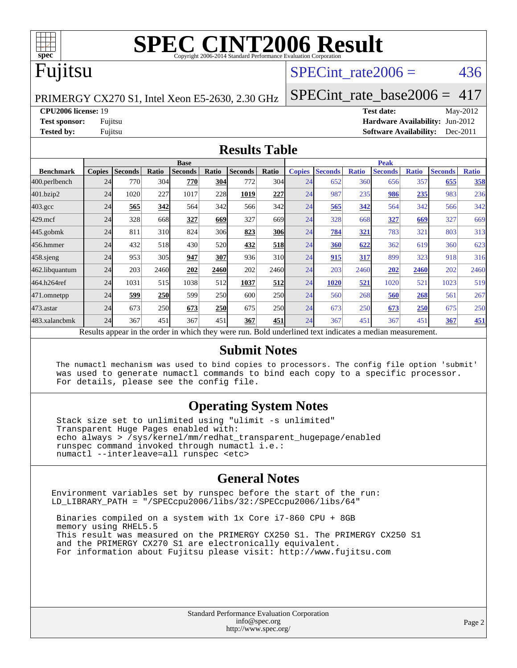

# **[SPEC CINT2006 Result](http://www.spec.org/auto/cpu2006/Docs/result-fields.html#SPECCINT2006Result)**

#### Fujitsu

#### SPECint rate $2006 = 436$

PRIMERGY CX270 S1, Intel Xeon E5-2630, 2.30 GHz

[SPECint\\_rate\\_base2006 =](http://www.spec.org/auto/cpu2006/Docs/result-fields.html#SPECintratebase2006) 417

**[CPU2006 license:](http://www.spec.org/auto/cpu2006/Docs/result-fields.html#CPU2006license)** 19 **[Test date:](http://www.spec.org/auto/cpu2006/Docs/result-fields.html#Testdate)** May-2012 **[Test sponsor:](http://www.spec.org/auto/cpu2006/Docs/result-fields.html#Testsponsor)** Fujitsu **[Hardware Availability:](http://www.spec.org/auto/cpu2006/Docs/result-fields.html#HardwareAvailability)** Jun-2012 **[Tested by:](http://www.spec.org/auto/cpu2006/Docs/result-fields.html#Testedby)** Fujitsu **Fugital Example 2011 [Software Availability:](http://www.spec.org/auto/cpu2006/Docs/result-fields.html#SoftwareAvailability)** Dec-2011

#### **[Results Table](http://www.spec.org/auto/cpu2006/Docs/result-fields.html#ResultsTable)**

|                                                                                                          | <b>Base</b>   |                |            |                |            |                |             | <b>Peak</b>   |                |              |                |              |                |              |
|----------------------------------------------------------------------------------------------------------|---------------|----------------|------------|----------------|------------|----------------|-------------|---------------|----------------|--------------|----------------|--------------|----------------|--------------|
| <b>Benchmark</b>                                                                                         | <b>Copies</b> | <b>Seconds</b> | Ratio      | <b>Seconds</b> | Ratio      | <b>Seconds</b> | Ratio       | <b>Copies</b> | <b>Seconds</b> | <b>Ratio</b> | <b>Seconds</b> | <b>Ratio</b> | <b>Seconds</b> | <b>Ratio</b> |
| 400.perlbench                                                                                            | 24            | 770            | 304        | 770            | 304        | 772            | 304         | 24            | 652            | 360          | 656            | 357          | 655            | 358          |
| 401.bzip2                                                                                                | 24            | 1020           | 227        | 1017           | 228        | 1019           | 227         | 24            | 987            | 235          | 986            | 235          | 983            | 236          |
| $403.\mathrm{gcc}$                                                                                       | 24            | 565            | 342        | 564            | 342        | 566            | 342         | 24            | 565            | 342          | 564            | 342          | 566            | 342          |
| $429$ .mcf                                                                                               | 24            | 328            | 668        | 327            | 669        | 327            | 669         | 24            | 328            | 668          | 327            | 669          | 327            | 669          |
| $445$ .gobmk                                                                                             | 24            | 811            | 310        | 824            | 306        | 823            | 306         | 24            | 784            | 321          | 783            | 321          | 803            | 313          |
| 456.hmmer                                                                                                | 24            | 432            | 518        | 430            | 520        | 432            | 518         | 24            | <b>360</b>     | 622          | 362            | 619          | 360            | 623          |
| $458$ .sjeng                                                                                             | 24            | 953            | 305        | 947            | 307        | 936            | 310         | 24            | 915            | 317          | 899            | 323          | 918            | 316          |
| 462.libquantum                                                                                           | 24            | 203            | 2460       | 202            | 2460       | 202            | <b>2460</b> | 24            | 203            | 2460         | 202            | 2460         | 202            | 2460         |
| 464.h264ref                                                                                              | 24            | 1031           | 515        | 1038           | 512        | 1037           | 512         | 24            | 1020           | 521          | 1020           | 521          | 1023           | 519          |
| 471.omnetpp                                                                                              | 24            | 599            | <b>250</b> | 599            | 250        | 600            | <b>250</b>  | 24            | 560            | 268          | 560            | 268          | 561            | 267          |
| $473$ . astar                                                                                            | 24            | 673            | 250        | 673            | <b>250</b> | 675            | <b>250</b>  | 24            | 673            | 250          | 673            | 250          | 675            | 250          |
| 483.xalancbmk                                                                                            | 24            | 367            | 451        | 367            | 451        | 367            | 451         | 24            | 367            | 451          | 367            | 451          | 367            | 451          |
| Results appear in the order in which they were run. Bold underlined text indicates a median measurement. |               |                |            |                |            |                |             |               |                |              |                |              |                |              |

#### **[Submit Notes](http://www.spec.org/auto/cpu2006/Docs/result-fields.html#SubmitNotes)**

 The numactl mechanism was used to bind copies to processors. The config file option 'submit' was used to generate numactl commands to bind each copy to a specific processor. For details, please see the config file.

#### **[Operating System Notes](http://www.spec.org/auto/cpu2006/Docs/result-fields.html#OperatingSystemNotes)**

 Stack size set to unlimited using "ulimit -s unlimited" Transparent Huge Pages enabled with: echo always > /sys/kernel/mm/redhat\_transparent\_hugepage/enabled runspec command invoked through numactl i.e.: numactl --interleave=all runspec <etc>

#### **[General Notes](http://www.spec.org/auto/cpu2006/Docs/result-fields.html#GeneralNotes)**

Environment variables set by runspec before the start of the run: LD\_LIBRARY\_PATH = "/SPECcpu2006/libs/32:/SPECcpu2006/libs/64"

 Binaries compiled on a system with 1x Core i7-860 CPU + 8GB memory using RHEL5.5 This result was measured on the PRIMERGY CX250 S1. The PRIMERGY CX250 S1 and the PRIMERGY CX270 S1 are electronically equivalent. For information about Fujitsu please visit: <http://www.fujitsu.com>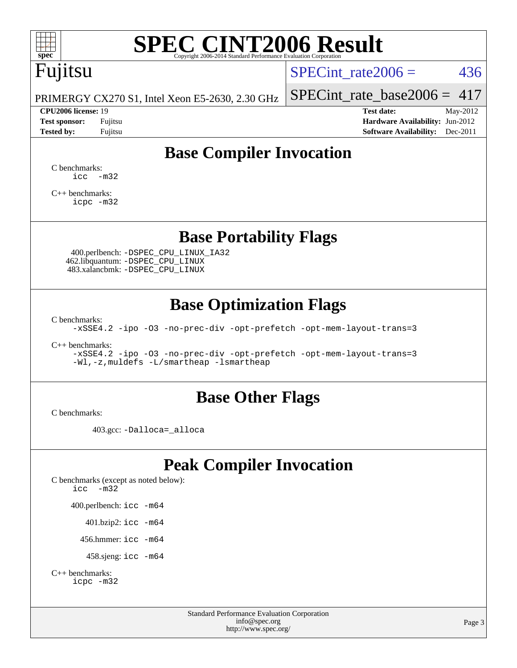

# **[SPEC CINT2006 Result](http://www.spec.org/auto/cpu2006/Docs/result-fields.html#SPECCINT2006Result)**

# Fujitsu

SPECint rate $2006 = 436$ 

PRIMERGY CX270 S1, Intel Xeon E5-2630, 2.30 GHz

[SPECint\\_rate\\_base2006 =](http://www.spec.org/auto/cpu2006/Docs/result-fields.html#SPECintratebase2006)  $417$ **[CPU2006 license:](http://www.spec.org/auto/cpu2006/Docs/result-fields.html#CPU2006license)** 19 **[Test date:](http://www.spec.org/auto/cpu2006/Docs/result-fields.html#Testdate)** May-2012

**[Test sponsor:](http://www.spec.org/auto/cpu2006/Docs/result-fields.html#Testsponsor)** Fujitsu **[Hardware Availability:](http://www.spec.org/auto/cpu2006/Docs/result-fields.html#HardwareAvailability)** Jun-2012 **[Tested by:](http://www.spec.org/auto/cpu2006/Docs/result-fields.html#Testedby)** Fujitsu **Fugital Example 2011 [Software Availability:](http://www.spec.org/auto/cpu2006/Docs/result-fields.html#SoftwareAvailability)** Dec-2011

#### **[Base Compiler Invocation](http://www.spec.org/auto/cpu2006/Docs/result-fields.html#BaseCompilerInvocation)**

[C benchmarks](http://www.spec.org/auto/cpu2006/Docs/result-fields.html#Cbenchmarks):  $\text{icc}$   $-\text{m32}$ 

[C++ benchmarks:](http://www.spec.org/auto/cpu2006/Docs/result-fields.html#CXXbenchmarks) [icpc -m32](http://www.spec.org/cpu2006/results/res2012q3/cpu2006-20120620-23148.flags.html#user_CXXbase_intel_icpc_4e5a5ef1a53fd332b3c49e69c3330699)

#### **[Base Portability Flags](http://www.spec.org/auto/cpu2006/Docs/result-fields.html#BasePortabilityFlags)**

 400.perlbench: [-DSPEC\\_CPU\\_LINUX\\_IA32](http://www.spec.org/cpu2006/results/res2012q3/cpu2006-20120620-23148.flags.html#b400.perlbench_baseCPORTABILITY_DSPEC_CPU_LINUX_IA32) 462.libquantum: [-DSPEC\\_CPU\\_LINUX](http://www.spec.org/cpu2006/results/res2012q3/cpu2006-20120620-23148.flags.html#b462.libquantum_baseCPORTABILITY_DSPEC_CPU_LINUX) 483.xalancbmk: [-DSPEC\\_CPU\\_LINUX](http://www.spec.org/cpu2006/results/res2012q3/cpu2006-20120620-23148.flags.html#b483.xalancbmk_baseCXXPORTABILITY_DSPEC_CPU_LINUX)

#### **[Base Optimization Flags](http://www.spec.org/auto/cpu2006/Docs/result-fields.html#BaseOptimizationFlags)**

[C benchmarks](http://www.spec.org/auto/cpu2006/Docs/result-fields.html#Cbenchmarks):

[-xSSE4.2](http://www.spec.org/cpu2006/results/res2012q3/cpu2006-20120620-23148.flags.html#user_CCbase_f-xSSE42_f91528193cf0b216347adb8b939d4107) [-ipo](http://www.spec.org/cpu2006/results/res2012q3/cpu2006-20120620-23148.flags.html#user_CCbase_f-ipo) [-O3](http://www.spec.org/cpu2006/results/res2012q3/cpu2006-20120620-23148.flags.html#user_CCbase_f-O3) [-no-prec-div](http://www.spec.org/cpu2006/results/res2012q3/cpu2006-20120620-23148.flags.html#user_CCbase_f-no-prec-div) [-opt-prefetch](http://www.spec.org/cpu2006/results/res2012q3/cpu2006-20120620-23148.flags.html#user_CCbase_f-opt-prefetch) [-opt-mem-layout-trans=3](http://www.spec.org/cpu2006/results/res2012q3/cpu2006-20120620-23148.flags.html#user_CCbase_f-opt-mem-layout-trans_a7b82ad4bd7abf52556d4961a2ae94d5)

[C++ benchmarks:](http://www.spec.org/auto/cpu2006/Docs/result-fields.html#CXXbenchmarks)

[-xSSE4.2](http://www.spec.org/cpu2006/results/res2012q3/cpu2006-20120620-23148.flags.html#user_CXXbase_f-xSSE42_f91528193cf0b216347adb8b939d4107) [-ipo](http://www.spec.org/cpu2006/results/res2012q3/cpu2006-20120620-23148.flags.html#user_CXXbase_f-ipo) [-O3](http://www.spec.org/cpu2006/results/res2012q3/cpu2006-20120620-23148.flags.html#user_CXXbase_f-O3) [-no-prec-div](http://www.spec.org/cpu2006/results/res2012q3/cpu2006-20120620-23148.flags.html#user_CXXbase_f-no-prec-div) [-opt-prefetch](http://www.spec.org/cpu2006/results/res2012q3/cpu2006-20120620-23148.flags.html#user_CXXbase_f-opt-prefetch) [-opt-mem-layout-trans=3](http://www.spec.org/cpu2006/results/res2012q3/cpu2006-20120620-23148.flags.html#user_CXXbase_f-opt-mem-layout-trans_a7b82ad4bd7abf52556d4961a2ae94d5) [-Wl,-z,muldefs](http://www.spec.org/cpu2006/results/res2012q3/cpu2006-20120620-23148.flags.html#user_CXXbase_link_force_multiple1_74079c344b956b9658436fd1b6dd3a8a) [-L/smartheap -lsmartheap](http://www.spec.org/cpu2006/results/res2012q3/cpu2006-20120620-23148.flags.html#user_CXXbase_SmartHeap_7c9e394a5779e1a7fec7c221e123830c)

#### **[Base Other Flags](http://www.spec.org/auto/cpu2006/Docs/result-fields.html#BaseOtherFlags)**

[C benchmarks](http://www.spec.org/auto/cpu2006/Docs/result-fields.html#Cbenchmarks):

403.gcc: [-Dalloca=\\_alloca](http://www.spec.org/cpu2006/results/res2012q3/cpu2006-20120620-23148.flags.html#b403.gcc_baseEXTRA_CFLAGS_Dalloca_be3056838c12de2578596ca5467af7f3)

#### **[Peak Compiler Invocation](http://www.spec.org/auto/cpu2006/Docs/result-fields.html#PeakCompilerInvocation)**

[C benchmarks \(except as noted below\)](http://www.spec.org/auto/cpu2006/Docs/result-fields.html#Cbenchmarksexceptasnotedbelow): [icc -m32](http://www.spec.org/cpu2006/results/res2012q3/cpu2006-20120620-23148.flags.html#user_CCpeak_intel_icc_5ff4a39e364c98233615fdd38438c6f2) 400.perlbench: [icc -m64](http://www.spec.org/cpu2006/results/res2012q3/cpu2006-20120620-23148.flags.html#user_peakCCLD400_perlbench_intel_icc_64bit_bda6cc9af1fdbb0edc3795bac97ada53) 401.bzip2: [icc -m64](http://www.spec.org/cpu2006/results/res2012q3/cpu2006-20120620-23148.flags.html#user_peakCCLD401_bzip2_intel_icc_64bit_bda6cc9af1fdbb0edc3795bac97ada53)

456.hmmer: [icc -m64](http://www.spec.org/cpu2006/results/res2012q3/cpu2006-20120620-23148.flags.html#user_peakCCLD456_hmmer_intel_icc_64bit_bda6cc9af1fdbb0edc3795bac97ada53)

458.sjeng: [icc -m64](http://www.spec.org/cpu2006/results/res2012q3/cpu2006-20120620-23148.flags.html#user_peakCCLD458_sjeng_intel_icc_64bit_bda6cc9af1fdbb0edc3795bac97ada53)

```
C++ benchmarks: 
icpc -m32
```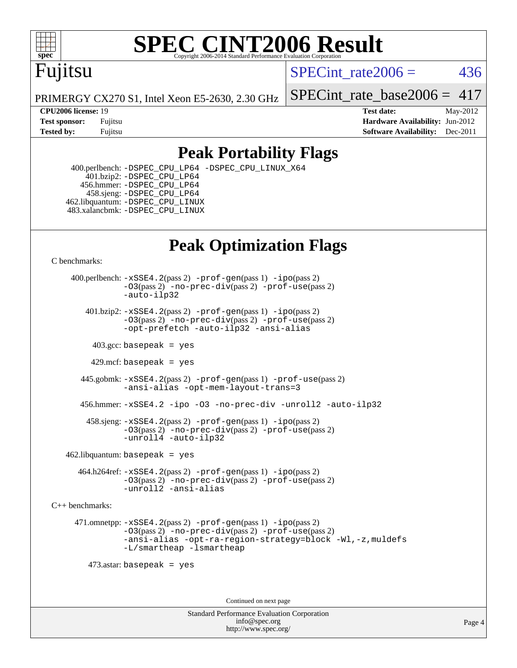

#### **[SPEC CINT2006 Result](http://www.spec.org/auto/cpu2006/Docs/result-fields.html#SPECCINT2006Result)** Copyright 2006-2014 Standard Performance Evaluation C

## Fujitsu

SPECint rate $2006 = 436$ 

PRIMERGY CX270 S1, Intel Xeon E5-2630, 2.30 GHz

SPECint rate base2006 =  $417$ 

**[CPU2006 license:](http://www.spec.org/auto/cpu2006/Docs/result-fields.html#CPU2006license)** 19 **[Test date:](http://www.spec.org/auto/cpu2006/Docs/result-fields.html#Testdate)** May-2012 **[Test sponsor:](http://www.spec.org/auto/cpu2006/Docs/result-fields.html#Testsponsor)** Fujitsu **[Hardware Availability:](http://www.spec.org/auto/cpu2006/Docs/result-fields.html#HardwareAvailability)** Jun-2012 **[Tested by:](http://www.spec.org/auto/cpu2006/Docs/result-fields.html#Testedby)** Fujitsu **Fugital Example 2011 [Software Availability:](http://www.spec.org/auto/cpu2006/Docs/result-fields.html#SoftwareAvailability)** Dec-2011

#### **[Peak Portability Flags](http://www.spec.org/auto/cpu2006/Docs/result-fields.html#PeakPortabilityFlags)**

 400.perlbench: [-DSPEC\\_CPU\\_LP64](http://www.spec.org/cpu2006/results/res2012q3/cpu2006-20120620-23148.flags.html#b400.perlbench_peakCPORTABILITY_DSPEC_CPU_LP64) [-DSPEC\\_CPU\\_LINUX\\_X64](http://www.spec.org/cpu2006/results/res2012q3/cpu2006-20120620-23148.flags.html#b400.perlbench_peakCPORTABILITY_DSPEC_CPU_LINUX_X64) 401.bzip2: [-DSPEC\\_CPU\\_LP64](http://www.spec.org/cpu2006/results/res2012q3/cpu2006-20120620-23148.flags.html#suite_peakCPORTABILITY401_bzip2_DSPEC_CPU_LP64) 456.hmmer: [-DSPEC\\_CPU\\_LP64](http://www.spec.org/cpu2006/results/res2012q3/cpu2006-20120620-23148.flags.html#suite_peakCPORTABILITY456_hmmer_DSPEC_CPU_LP64) 458.sjeng: [-DSPEC\\_CPU\\_LP64](http://www.spec.org/cpu2006/results/res2012q3/cpu2006-20120620-23148.flags.html#suite_peakCPORTABILITY458_sjeng_DSPEC_CPU_LP64) 462.libquantum: [-DSPEC\\_CPU\\_LINUX](http://www.spec.org/cpu2006/results/res2012q3/cpu2006-20120620-23148.flags.html#b462.libquantum_peakCPORTABILITY_DSPEC_CPU_LINUX) 483.xalancbmk: [-DSPEC\\_CPU\\_LINUX](http://www.spec.org/cpu2006/results/res2012q3/cpu2006-20120620-23148.flags.html#b483.xalancbmk_peakCXXPORTABILITY_DSPEC_CPU_LINUX)

## **[Peak Optimization Flags](http://www.spec.org/auto/cpu2006/Docs/result-fields.html#PeakOptimizationFlags)**

[C benchmarks](http://www.spec.org/auto/cpu2006/Docs/result-fields.html#Cbenchmarks):

 400.perlbench: [-xSSE4.2](http://www.spec.org/cpu2006/results/res2012q3/cpu2006-20120620-23148.flags.html#user_peakPASS2_CFLAGSPASS2_LDCFLAGS400_perlbench_f-xSSE42_f91528193cf0b216347adb8b939d4107)(pass 2) [-prof-gen](http://www.spec.org/cpu2006/results/res2012q3/cpu2006-20120620-23148.flags.html#user_peakPASS1_CFLAGSPASS1_LDCFLAGS400_perlbench_prof_gen_e43856698f6ca7b7e442dfd80e94a8fc)(pass 1) [-ipo](http://www.spec.org/cpu2006/results/res2012q3/cpu2006-20120620-23148.flags.html#user_peakPASS2_CFLAGSPASS2_LDCFLAGS400_perlbench_f-ipo)(pass 2) [-O3](http://www.spec.org/cpu2006/results/res2012q3/cpu2006-20120620-23148.flags.html#user_peakPASS2_CFLAGSPASS2_LDCFLAGS400_perlbench_f-O3)(pass 2) [-no-prec-div](http://www.spec.org/cpu2006/results/res2012q3/cpu2006-20120620-23148.flags.html#user_peakPASS2_CFLAGSPASS2_LDCFLAGS400_perlbench_f-no-prec-div)(pass 2) [-prof-use](http://www.spec.org/cpu2006/results/res2012q3/cpu2006-20120620-23148.flags.html#user_peakPASS2_CFLAGSPASS2_LDCFLAGS400_perlbench_prof_use_bccf7792157ff70d64e32fe3e1250b55)(pass 2) [-auto-ilp32](http://www.spec.org/cpu2006/results/res2012q3/cpu2006-20120620-23148.flags.html#user_peakCOPTIMIZE400_perlbench_f-auto-ilp32)  $401.bzip2: -xSSE4.2(pass 2) -prof-qen(pass 1) -ipo(pass 2)$  $401.bzip2: -xSSE4.2(pass 2) -prof-qen(pass 1) -ipo(pass 2)$  $401.bzip2: -xSSE4.2(pass 2) -prof-qen(pass 1) -ipo(pass 2)$  $401.bzip2: -xSSE4.2(pass 2) -prof-qen(pass 1) -ipo(pass 2)$  $401.bzip2: -xSSE4.2(pass 2) -prof-qen(pass 1) -ipo(pass 2)$ [-O3](http://www.spec.org/cpu2006/results/res2012q3/cpu2006-20120620-23148.flags.html#user_peakPASS2_CFLAGSPASS2_LDCFLAGS401_bzip2_f-O3)(pass 2) [-no-prec-div](http://www.spec.org/cpu2006/results/res2012q3/cpu2006-20120620-23148.flags.html#user_peakPASS2_CFLAGSPASS2_LDCFLAGS401_bzip2_f-no-prec-div)(pass 2) [-prof-use](http://www.spec.org/cpu2006/results/res2012q3/cpu2006-20120620-23148.flags.html#user_peakPASS2_CFLAGSPASS2_LDCFLAGS401_bzip2_prof_use_bccf7792157ff70d64e32fe3e1250b55)(pass 2) [-opt-prefetch](http://www.spec.org/cpu2006/results/res2012q3/cpu2006-20120620-23148.flags.html#user_peakCOPTIMIZE401_bzip2_f-opt-prefetch) [-auto-ilp32](http://www.spec.org/cpu2006/results/res2012q3/cpu2006-20120620-23148.flags.html#user_peakCOPTIMIZE401_bzip2_f-auto-ilp32) [-ansi-alias](http://www.spec.org/cpu2006/results/res2012q3/cpu2006-20120620-23148.flags.html#user_peakCOPTIMIZE401_bzip2_f-ansi-alias)  $403.\text{sec: basepeak}$  = yes 429.mcf: basepeak = yes 445.gobmk: [-xSSE4.2](http://www.spec.org/cpu2006/results/res2012q3/cpu2006-20120620-23148.flags.html#user_peakPASS2_CFLAGSPASS2_LDCFLAGS445_gobmk_f-xSSE42_f91528193cf0b216347adb8b939d4107)(pass 2) [-prof-gen](http://www.spec.org/cpu2006/results/res2012q3/cpu2006-20120620-23148.flags.html#user_peakPASS1_CFLAGSPASS1_LDCFLAGS445_gobmk_prof_gen_e43856698f6ca7b7e442dfd80e94a8fc)(pass 1) [-prof-use](http://www.spec.org/cpu2006/results/res2012q3/cpu2006-20120620-23148.flags.html#user_peakPASS2_CFLAGSPASS2_LDCFLAGS445_gobmk_prof_use_bccf7792157ff70d64e32fe3e1250b55)(pass 2) [-ansi-alias](http://www.spec.org/cpu2006/results/res2012q3/cpu2006-20120620-23148.flags.html#user_peakCOPTIMIZE445_gobmk_f-ansi-alias) [-opt-mem-layout-trans=3](http://www.spec.org/cpu2006/results/res2012q3/cpu2006-20120620-23148.flags.html#user_peakCOPTIMIZE445_gobmk_f-opt-mem-layout-trans_a7b82ad4bd7abf52556d4961a2ae94d5) 456.hmmer: [-xSSE4.2](http://www.spec.org/cpu2006/results/res2012q3/cpu2006-20120620-23148.flags.html#user_peakCOPTIMIZE456_hmmer_f-xSSE42_f91528193cf0b216347adb8b939d4107) [-ipo](http://www.spec.org/cpu2006/results/res2012q3/cpu2006-20120620-23148.flags.html#user_peakCOPTIMIZE456_hmmer_f-ipo) [-O3](http://www.spec.org/cpu2006/results/res2012q3/cpu2006-20120620-23148.flags.html#user_peakCOPTIMIZE456_hmmer_f-O3) [-no-prec-div](http://www.spec.org/cpu2006/results/res2012q3/cpu2006-20120620-23148.flags.html#user_peakCOPTIMIZE456_hmmer_f-no-prec-div) [-unroll2](http://www.spec.org/cpu2006/results/res2012q3/cpu2006-20120620-23148.flags.html#user_peakCOPTIMIZE456_hmmer_f-unroll_784dae83bebfb236979b41d2422d7ec2) [-auto-ilp32](http://www.spec.org/cpu2006/results/res2012q3/cpu2006-20120620-23148.flags.html#user_peakCOPTIMIZE456_hmmer_f-auto-ilp32) 458.sjeng: [-xSSE4.2](http://www.spec.org/cpu2006/results/res2012q3/cpu2006-20120620-23148.flags.html#user_peakPASS2_CFLAGSPASS2_LDCFLAGS458_sjeng_f-xSSE42_f91528193cf0b216347adb8b939d4107)(pass 2) [-prof-gen](http://www.spec.org/cpu2006/results/res2012q3/cpu2006-20120620-23148.flags.html#user_peakPASS1_CFLAGSPASS1_LDCFLAGS458_sjeng_prof_gen_e43856698f6ca7b7e442dfd80e94a8fc)(pass 1) [-ipo](http://www.spec.org/cpu2006/results/res2012q3/cpu2006-20120620-23148.flags.html#user_peakPASS2_CFLAGSPASS2_LDCFLAGS458_sjeng_f-ipo)(pass 2) [-O3](http://www.spec.org/cpu2006/results/res2012q3/cpu2006-20120620-23148.flags.html#user_peakPASS2_CFLAGSPASS2_LDCFLAGS458_sjeng_f-O3)(pass 2) [-no-prec-div](http://www.spec.org/cpu2006/results/res2012q3/cpu2006-20120620-23148.flags.html#user_peakPASS2_CFLAGSPASS2_LDCFLAGS458_sjeng_f-no-prec-div)(pass 2) [-prof-use](http://www.spec.org/cpu2006/results/res2012q3/cpu2006-20120620-23148.flags.html#user_peakPASS2_CFLAGSPASS2_LDCFLAGS458_sjeng_prof_use_bccf7792157ff70d64e32fe3e1250b55)(pass 2) [-unroll4](http://www.spec.org/cpu2006/results/res2012q3/cpu2006-20120620-23148.flags.html#user_peakCOPTIMIZE458_sjeng_f-unroll_4e5e4ed65b7fd20bdcd365bec371b81f) [-auto-ilp32](http://www.spec.org/cpu2006/results/res2012q3/cpu2006-20120620-23148.flags.html#user_peakCOPTIMIZE458_sjeng_f-auto-ilp32)  $462$ .libquantum: basepeak = yes 464.h264ref: [-xSSE4.2](http://www.spec.org/cpu2006/results/res2012q3/cpu2006-20120620-23148.flags.html#user_peakPASS2_CFLAGSPASS2_LDCFLAGS464_h264ref_f-xSSE42_f91528193cf0b216347adb8b939d4107)(pass 2) [-prof-gen](http://www.spec.org/cpu2006/results/res2012q3/cpu2006-20120620-23148.flags.html#user_peakPASS1_CFLAGSPASS1_LDCFLAGS464_h264ref_prof_gen_e43856698f6ca7b7e442dfd80e94a8fc)(pass 1) [-ipo](http://www.spec.org/cpu2006/results/res2012q3/cpu2006-20120620-23148.flags.html#user_peakPASS2_CFLAGSPASS2_LDCFLAGS464_h264ref_f-ipo)(pass 2) [-O3](http://www.spec.org/cpu2006/results/res2012q3/cpu2006-20120620-23148.flags.html#user_peakPASS2_CFLAGSPASS2_LDCFLAGS464_h264ref_f-O3)(pass 2) [-no-prec-div](http://www.spec.org/cpu2006/results/res2012q3/cpu2006-20120620-23148.flags.html#user_peakPASS2_CFLAGSPASS2_LDCFLAGS464_h264ref_f-no-prec-div)(pass 2) [-prof-use](http://www.spec.org/cpu2006/results/res2012q3/cpu2006-20120620-23148.flags.html#user_peakPASS2_CFLAGSPASS2_LDCFLAGS464_h264ref_prof_use_bccf7792157ff70d64e32fe3e1250b55)(pass 2) [-unroll2](http://www.spec.org/cpu2006/results/res2012q3/cpu2006-20120620-23148.flags.html#user_peakCOPTIMIZE464_h264ref_f-unroll_784dae83bebfb236979b41d2422d7ec2) [-ansi-alias](http://www.spec.org/cpu2006/results/res2012q3/cpu2006-20120620-23148.flags.html#user_peakCOPTIMIZE464_h264ref_f-ansi-alias)

[C++ benchmarks:](http://www.spec.org/auto/cpu2006/Docs/result-fields.html#CXXbenchmarks)

 471.omnetpp: [-xSSE4.2](http://www.spec.org/cpu2006/results/res2012q3/cpu2006-20120620-23148.flags.html#user_peakPASS2_CXXFLAGSPASS2_LDCXXFLAGS471_omnetpp_f-xSSE42_f91528193cf0b216347adb8b939d4107)(pass 2) [-prof-gen](http://www.spec.org/cpu2006/results/res2012q3/cpu2006-20120620-23148.flags.html#user_peakPASS1_CXXFLAGSPASS1_LDCXXFLAGS471_omnetpp_prof_gen_e43856698f6ca7b7e442dfd80e94a8fc)(pass 1) [-ipo](http://www.spec.org/cpu2006/results/res2012q3/cpu2006-20120620-23148.flags.html#user_peakPASS2_CXXFLAGSPASS2_LDCXXFLAGS471_omnetpp_f-ipo)(pass 2) [-O3](http://www.spec.org/cpu2006/results/res2012q3/cpu2006-20120620-23148.flags.html#user_peakPASS2_CXXFLAGSPASS2_LDCXXFLAGS471_omnetpp_f-O3)(pass 2) [-no-prec-div](http://www.spec.org/cpu2006/results/res2012q3/cpu2006-20120620-23148.flags.html#user_peakPASS2_CXXFLAGSPASS2_LDCXXFLAGS471_omnetpp_f-no-prec-div)(pass 2) [-prof-use](http://www.spec.org/cpu2006/results/res2012q3/cpu2006-20120620-23148.flags.html#user_peakPASS2_CXXFLAGSPASS2_LDCXXFLAGS471_omnetpp_prof_use_bccf7792157ff70d64e32fe3e1250b55)(pass 2) [-ansi-alias](http://www.spec.org/cpu2006/results/res2012q3/cpu2006-20120620-23148.flags.html#user_peakCXXOPTIMIZE471_omnetpp_f-ansi-alias) [-opt-ra-region-strategy=block](http://www.spec.org/cpu2006/results/res2012q3/cpu2006-20120620-23148.flags.html#user_peakCXXOPTIMIZE471_omnetpp_f-opt-ra-region-strategy_a0a37c372d03933b2a18d4af463c1f69) [-Wl,-z,muldefs](http://www.spec.org/cpu2006/results/res2012q3/cpu2006-20120620-23148.flags.html#user_peakEXTRA_LDFLAGS471_omnetpp_link_force_multiple1_74079c344b956b9658436fd1b6dd3a8a) [-L/smartheap -lsmartheap](http://www.spec.org/cpu2006/results/res2012q3/cpu2006-20120620-23148.flags.html#user_peakEXTRA_LIBS471_omnetpp_SmartHeap_7c9e394a5779e1a7fec7c221e123830c)

473.astar: basepeak = yes

Continued on next page

Standard Performance Evaluation Corporation [info@spec.org](mailto:info@spec.org) <http://www.spec.org/>